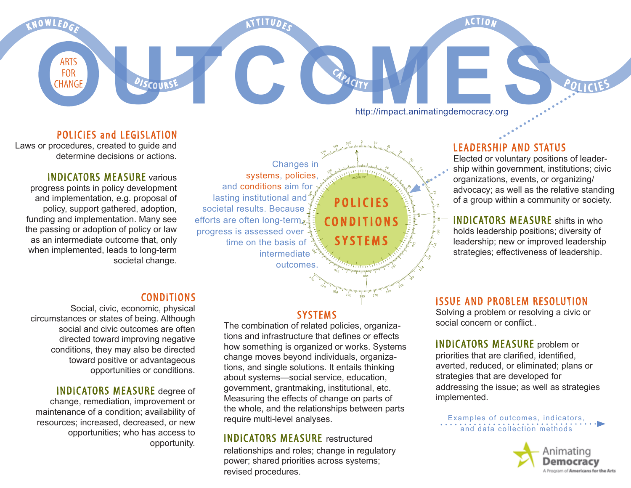**ACTION** 

ATTITUDES

FOR CHANGE DISCOURSE CAPACITY http://impact.animatingdemocracy.org http://impact.animatingdemocracy.org

## LEADERSHIP AND STATUS

Elected or voluntary positions of leadership within government, institutions; civic organizations, events, or organizing/ advocacy; as well as the relative standing of a group within a community or society.

POLICIES

**INDICATORS MEASURE** shifts in who holds leadership positions; diversity of leadership; new or improved leadership strategies; effectiveness of leadership.

## **ISSUE AND PROBLEM RESOLUTION**

Solving a problem or resolving a civic or social concern or conflict...

INDICATORS MEASURE problem or priorities that are clarified, identified, averted, reduced, or eliminated; plans or strategies that are developed for addressing the issue; as well as strategies implemented.

Examples of outcomes, indicators, and data collection methods



Changes in systems, policies, and conditions aim for lasting institutional and societal results. Because efforts are often long-term, progress is assessed over time on the basis of intermediate outcomes.

A

### POLICIES and LEGISLATION

Laws or procedures, created to guide and determine decisions or actions.

**ARTS FOR CHANGE** 

K N O W L E D G E

### **INDICATORS MEASURE various**

progress points in policy development and implementation, e.g. proposal of policy, support gathered, adoption, funding and implementation. Many see the passing or adoption of policy or law as an intermediate outcome that, only when implemented, leads to long-term societal change.

# **CONDITIONS**

**ISCOURSE** 

 Social, civic, economic, physical circumstances or states of being. Although social and civic outcomes are often directed toward improving negative conditions, they may also be directed toward positive or advantageous opportunities or conditions.

**INDICATORS MEASURE** degree of change, remediation, improvement or maintenance of a condition; availability of resources; increased, decreased, or new opportunities; who has access to opportunity.

## **SYSTEMS**

**POLICIES** 

CAPACITY

CONDITIONS

systems

The combination of related policies, organizations and infrastructure that defines or effects how something is organized or works. Systems change moves beyond individuals, organizations, and single solutions. It entails thinking about systems—social service, education, government, grantmaking, institutional, etc. Measuring the effects of change on parts of the whole, and the relationships between parts require multi-level analyses.

#### Indicators measure restructured

relationships and roles; change in regulatory power; shared priorities across systems; revised procedures.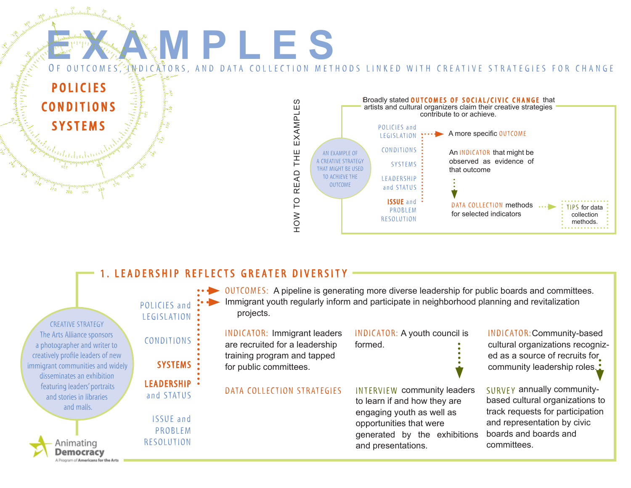

# 1. LEADERSHIP REFLECTS GREATER DIVERSITY

| <b>CREATIVE STRATEGY</b>                                                                                                                                                                                                                     | POLICIES and<br>LEGISLATION :                    | • • • OUTCOMES: A pipeline is generating more diverse leadership for public boards and committees.<br>Immigrant youth regularly inform and participate in neighborhood planning and revitalization<br>projects. |                                                                                                                                                                                  |                                                                                                                                                                          |
|----------------------------------------------------------------------------------------------------------------------------------------------------------------------------------------------------------------------------------------------|--------------------------------------------------|-----------------------------------------------------------------------------------------------------------------------------------------------------------------------------------------------------------------|----------------------------------------------------------------------------------------------------------------------------------------------------------------------------------|--------------------------------------------------------------------------------------------------------------------------------------------------------------------------|
| The Arts Alliance sponsors<br>a photographer and writer to                                                                                                                                                                                   | CONDITIONS :                                     | <b>INDICATOR: Immigrant leaders</b><br>are recruited for a leadership                                                                                                                                           | INDICATOR: A youth council is<br>formed.                                                                                                                                         | INDICATOR: Community-based<br>cultural organizations recogniz-                                                                                                           |
| creatively profile leaders of new<br>immigrant communities and widely<br>disseminates an exhibition<br>featuring leaders' portraits<br>and stories in libraries<br>and malls.<br>Animating<br>Jemocracy<br>Program of Americans for the Arts | SYSTEMS :                                        | training program and tapped<br>for public committees.                                                                                                                                                           |                                                                                                                                                                                  | ed as a source of recruits for<br>community leadership roles. <sup>•</sup>                                                                                               |
|                                                                                                                                                                                                                                              | LEADERSHIP .<br>and STATUS                       | DATA COLLECTION STRATEGIES                                                                                                                                                                                      | <b>INTERVIEW community leaders</b><br>to learn if and how they are<br>engaging youth as well as<br>opportunities that were<br>generated by the exhibitions<br>and presentations. | SURVEY annually community-<br>based cultural organizations to<br>track requests for participation<br>and representation by civic<br>boards and boards and<br>committees. |
|                                                                                                                                                                                                                                              | <b>ISSUE</b> and<br>PROBLEM<br><b>RESOLUTION</b> |                                                                                                                                                                                                                 |                                                                                                                                                                                  |                                                                                                                                                                          |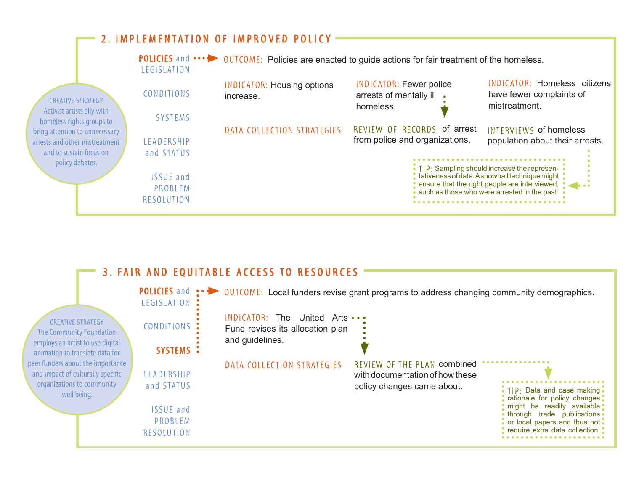

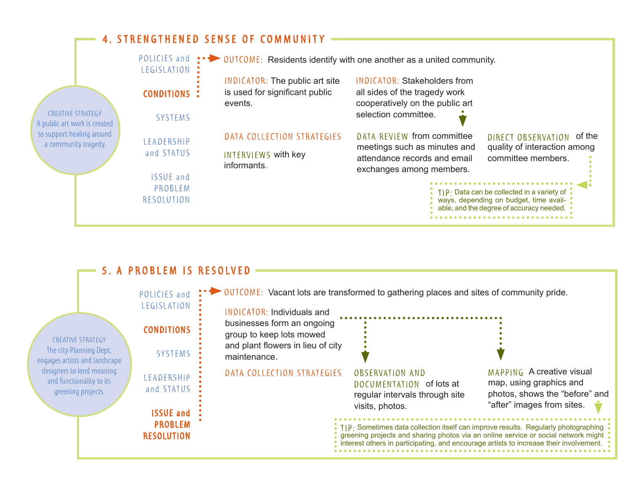